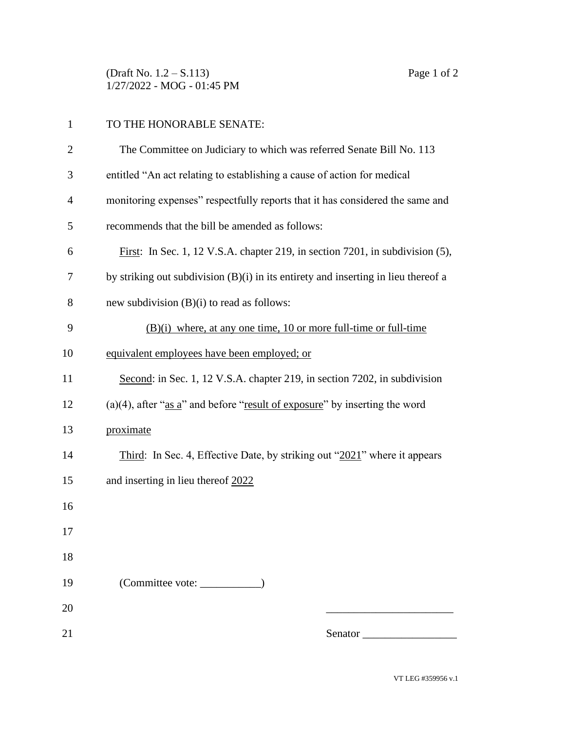(Draft No. 1.2 – S.113) Page 1 of 2 1/27/2022 - MOG - 01:45 PM

| $\mathbf{1}$   | TO THE HONORABLE SENATE:                                                                |
|----------------|-----------------------------------------------------------------------------------------|
| $\overline{2}$ | The Committee on Judiciary to which was referred Senate Bill No. 113                    |
| 3              | entitled "An act relating to establishing a cause of action for medical                 |
| $\overline{4}$ | monitoring expenses" respectfully reports that it has considered the same and           |
| 5              | recommends that the bill be amended as follows:                                         |
| 6              | First: In Sec. 1, 12 V.S.A. chapter 219, in section 7201, in subdivision (5),           |
| 7              | by striking out subdivision $(B)(i)$ in its entirety and inserting in lieu thereof a    |
| 8              | new subdivision $(B)(i)$ to read as follows:                                            |
| 9              | $(B)(i)$ where, at any one time, 10 or more full-time or full-time                      |
| 10             | equivalent employees have been employed; or                                             |
| 11             | Second: in Sec. 1, 12 V.S.A. chapter 219, in section 7202, in subdivision               |
| 12             | (a)(4), after " $\frac{as a}{s'}$ and before "result of exposure" by inserting the word |
| 13             | proximate                                                                               |
| 14             | Third: In Sec. 4, Effective Date, by striking out "2021" where it appears               |
| 15             | and inserting in lieu thereof 2022                                                      |
| 16             |                                                                                         |
| 17             |                                                                                         |
| 18             |                                                                                         |
| 19             |                                                                                         |
| 20             |                                                                                         |
| 21             | Senator                                                                                 |